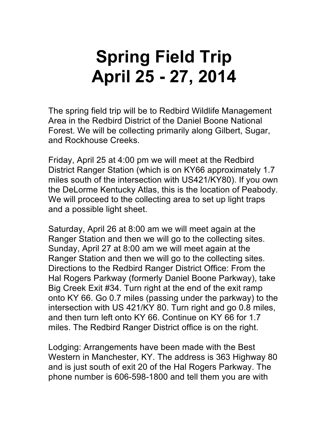## **Spring Field Trip April 25 - 27, 2014**

The spring field trip will be to Redbird Wildlife Management Area in the Redbird District of the Daniel Boone National Forest. We will be collecting primarily along Gilbert, Sugar, and Rockhouse Creeks.

Friday, April 25 at 4:00 pm we will meet at the Redbird District Ranger Station (which is on KY66 approximately 1.7 miles south of the intersection with US421/KY80). If you own the DeLorme Kentucky Atlas, this is the location of Peabody. We will proceed to the collecting area to set up light traps and a possible light sheet.

Saturday, April 26 at 8:00 am we will meet again at the Ranger Station and then we will go to the collecting sites. Sunday, April 27 at 8:00 am we will meet again at the Ranger Station and then we will go to the collecting sites. Directions to the Redbird Ranger District Office: From the Hal Rogers Parkway (formerly Daniel Boone Parkway), take Big Creek Exit #34. Turn right at the end of the exit ramp onto KY 66. Go 0.7 miles (passing under the parkway) to the intersection with US 421/KY 80. Turn right and go 0.8 miles, and then turn left onto KY 66. Continue on KY 66 for 1.7 miles. The Redbird Ranger District office is on the right.

Lodging: Arrangements have been made with the Best Western in Manchester, KY. The address is 363 Highway 80 and is just south of exit 20 of the Hal Rogers Parkway. The phone number is 606-598-1800 and tell them you are with